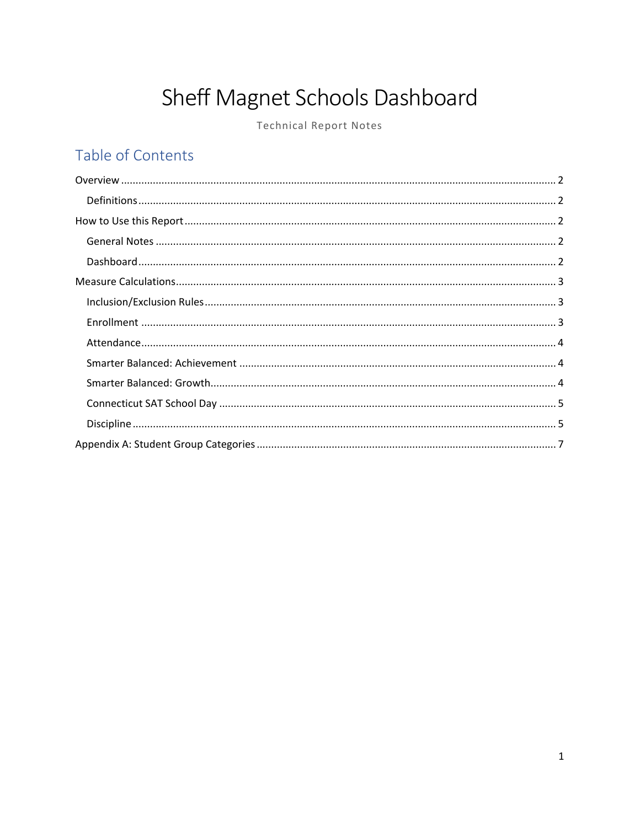# Sheff Magnet Schools Dashboard

**Technical Report Notes** 

# Table of Contents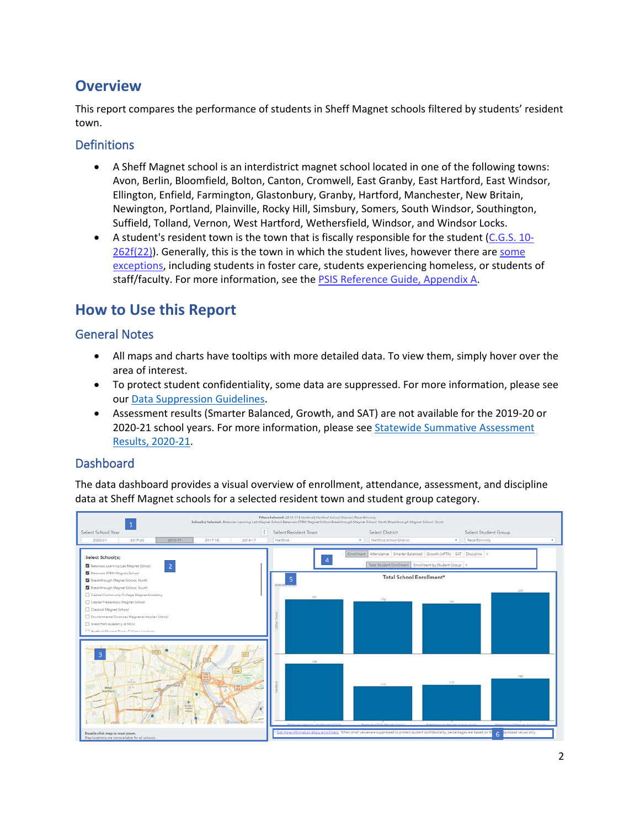### <span id="page-1-0"></span>**Overview**

This report compares the performance of students in Sheff Magnet schools filtered by students' resident town.

#### <span id="page-1-1"></span>**Definitions**

- A Sheff Magnet school is an interdistrict magnet school located in one of the following towns: Avon, Berlin, Bloomfield, Bolton, Canton, Cromwell, East Granby, East Hartford, East Windsor, Ellington, Enfield, Farmington, Glastonbury, Granby, Hartford, Manchester, New Britain, Newington, Portland, Plainville, Rocky Hill, Simsbury, Somers, South Windsor, Southington, Suffield, Tolland, Vernon, West Hartford, Wethersfield, Windsor, and Windsor Locks.
- A student's resident town is the town that is fiscally responsible for the student [\(C.G.S. 10-](https://www.cga.ct.gov/current/pub/chap_172.htm#sec_10-262f)  $262f(22)$ ). Generally, this is the town in which the student lives, however there are some [exceptions,](https://portal.ct.gov/-/media/SDE/Performance/Data-Collection/Help-Sites/PSIS/2021-22_PSIS_Reference_Guide.pdf#page=22) including students in foster care, students experiencing homeless, or students of staff/faculty. For more information, see the [PSIS Reference Guide, Appendix A.](https://portal.ct.gov/-/media/SDE/Performance/Data-Collection/Help-Sites/PSIS/2021-22_PSIS_Reference_Guide.pdf#page=43)

### <span id="page-1-2"></span>**How to Use this Report**

#### <span id="page-1-3"></span>General Notes

- All maps and charts have tooltips with more detailed data. To view them, simply hover over the area of interest.
- To protect student confidentiality, some data are suppressed. For more information, please see our [Data Suppression Guidelines.](https://edsight.ct.gov/relatedreports/BDCRE%20Data%20Suppression%20Rules.pdf)
- Assessment results (Smarter Balanced, Growth, and SAT) are not available for the 2019-20 or 2020-21 school years. For more information, please se[e Statewide Summative Assessment](https://portal.ct.gov/SDE/Student-Assessment/Main-Assessment/Statewide-Summative-Assessment-Results-2020-21)  [Results, 2020-21.](https://portal.ct.gov/SDE/Student-Assessment/Main-Assessment/Statewide-Summative-Assessment-Results-2020-21)

### <span id="page-1-4"></span>Dashboard

The data dashboard provides a visual overview of enrollment, attendance, assessment, and discipline data at Sheff Magnet schools for a selected resident town and student group category.

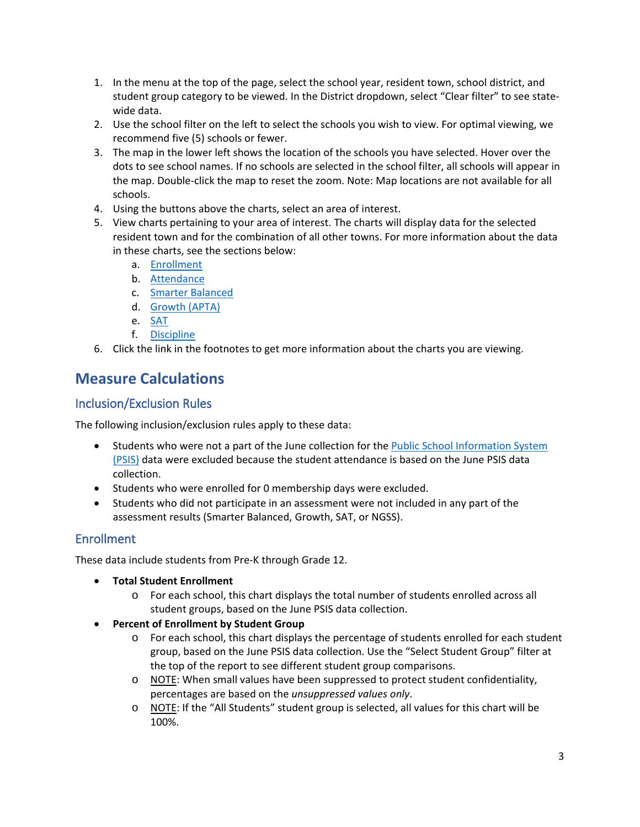- 1. In the menu at the top of the page, select the school year, resident town, school district, and student group category to be viewed. In the District dropdown, select "Clear filter" to see statewide data.
- 2. Use the school filter on the left to select the schools you wish to view. For optimal viewing, we recommend five (5) schools or fewer.
- 3. The map in the lower left shows the location of the schools you have selected. Hover over the dots to see school names. If no schools are selected in the school filter, all schools will appear in the map. Double-click the map to reset the zoom. Note: Map locations are not available for all schools.
- 4. Using the buttons above the charts, select an area of interest.
- 5. View charts pertaining to your area of interest. The charts will display data for the selected resident town and for the combination of all other towns. For more information about the data in these charts, see the sections below:
	- a. [Enrollment](#page-2-2)
	- b. [Attendance](#page-3-0)
	- c. Smarter Balanced
	- d. Growth (APTA)
	- e. [SAT](#page-4-0)
	- f. [Discipline](#page-4-1)
- 6. Click the link in the footnotes to get more information about the charts you are viewing.

## <span id="page-2-0"></span>**Measure Calculations**

#### <span id="page-2-1"></span>Inclusion/Exclusion Rules

The following inclusion/exclusion rules apply to these data:

- Students who were not a part of the June collection for the [Public School Information System](https://portal.ct.gov/SDE/Performance/Data-Collection-Help-Sites/PSIS-Help-Site)  [\(PSIS\)](https://portal.ct.gov/SDE/Performance/Data-Collection-Help-Sites/PSIS-Help-Site) data were excluded because the student attendance is based on the June PSIS data collection.
- Students who were enrolled for 0 membership days were excluded.
- Students who did not participate in an assessment were not included in any part of the assessment results (Smarter Balanced, Growth, SAT, or NGSS).

### <span id="page-2-2"></span>Enrollment

These data include students from Pre-K through Grade 12.

- **Total Student Enrollment**
	- o For each school, this chart displays the total number of students enrolled across all student groups, based on the June PSIS data collection.
- **Percent of Enrollment by Student Group**
	- o For each school, this chart displays the percentage of students enrolled for each student group, based on the June PSIS data collection. Use the "Select Student Group" filter at the top of the report to see different student group comparisons.
	- $\circ$  NOTE: When small values have been suppressed to protect student confidentiality, percentages are based on the *unsuppressed values only*.
	- o NOTE: If the "All Students" student group is selected, all values for this chart will be 100%.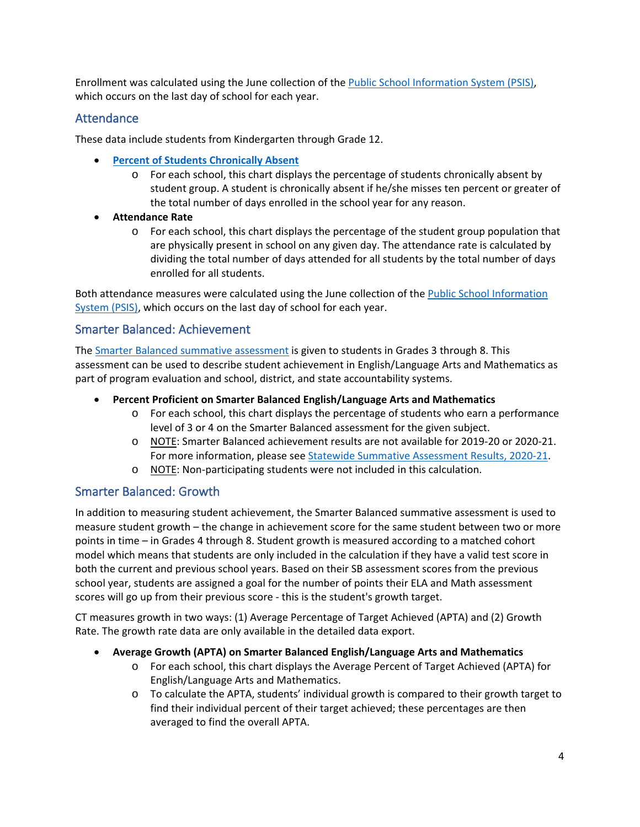Enrollment was calculated using the June collection of the [Public School Information System \(PSIS\),](https://portal.ct.gov/SDE/Performance/Data-Collection-Help-Sites/PSIS-Help-Site) which occurs on the last day of school for each year.

#### <span id="page-3-0"></span>Attendance

These data include students from Kindergarten through Grade 12.

- **[Percent of Students Chronically Absent](https://portal.ct.gov/SDE/Chronic-Absence/Chronic-Absence)** 
	- o For each school, this chart displays the percentage of students chronically absent by student group. A student is chronically absent if he/she misses ten percent or greater of the total number of days enrolled in the school year for any reason.
- **Attendance Rate**
	- o For each school, this chart displays the percentage of the student group population that are physically present in school on any given day. The attendance rate is calculated by dividing the total number of days attended for all students by the total number of days enrolled for all students.

Both attendance measures were calculated using the June collection of the [Public School Information](https://portal.ct.gov/SDE/Performance/Data-Collection-Help-Sites/PSIS-Help-Site)  [System \(PSIS\),](https://portal.ct.gov/SDE/Performance/Data-Collection-Help-Sites/PSIS-Help-Site) which occurs on the last day of school for each year.

#### <span id="page-3-1"></span>Smarter Balanced: Achievement

The [Smarter Balanced summative assessment](https://portal.ct.gov/SDE/Student-Assessment/Smarter-Balanced/Find-Information-about-Smarter-Balanced) is given to students in Grades 3 through 8. This assessment can be used to describe student achievement in English/Language Arts and Mathematics as part of program evaluation and school, district, and state accountability systems.

#### • **Percent Proficient on Smarter Balanced English/Language Arts and Mathematics**

- o For each school, this chart displays the percentage of students who earn a performance level of 3 or 4 on the Smarter Balanced assessment for the given subject.
- o NOTE: Smarter Balanced achievement results are not available for 2019-20 or 2020-21. For more information, please see [Statewide Summative Assessment Results, 2020-21.](https://portal.ct.gov/SDE/Student-Assessment/Main-Assessment/Statewide-Summative-Assessment-Results-2020-21)
- o NOTE: Non-participating students were not included in this calculation.

#### <span id="page-3-2"></span>Smarter Balanced: Growth

In addition to measuring student achievement, the Smarter Balanced summative assessment is used to measure student growth – the change in achievement score for the same student between two or more points in time – in Grades 4 through 8. Student growth is measured according to a matched cohort model which means that students are only included in the calculation if they have a valid test score in both the current and previous school years. Based on their SB assessment scores from the previous school year, students are assigned a goal for the number of points their ELA and Math assessment scores will go up from their previous score - this is the student's growth target.

CT measures growth in two ways: (1) Average Percentage of Target Achieved (APTA) and (2) Growth Rate. The growth rate data are only available in the detailed data export.

#### • **Average Growth (APTA) on Smarter Balanced English/Language Arts and Mathematics**

- o For each school, this chart displays the Average Percent of Target Achieved (APTA) for English/Language Arts and Mathematics.
- o To calculate the APTA, students' individual growth is compared to their growth target to find their individual percent of their target achieved; these percentages are then averaged to find the overall APTA.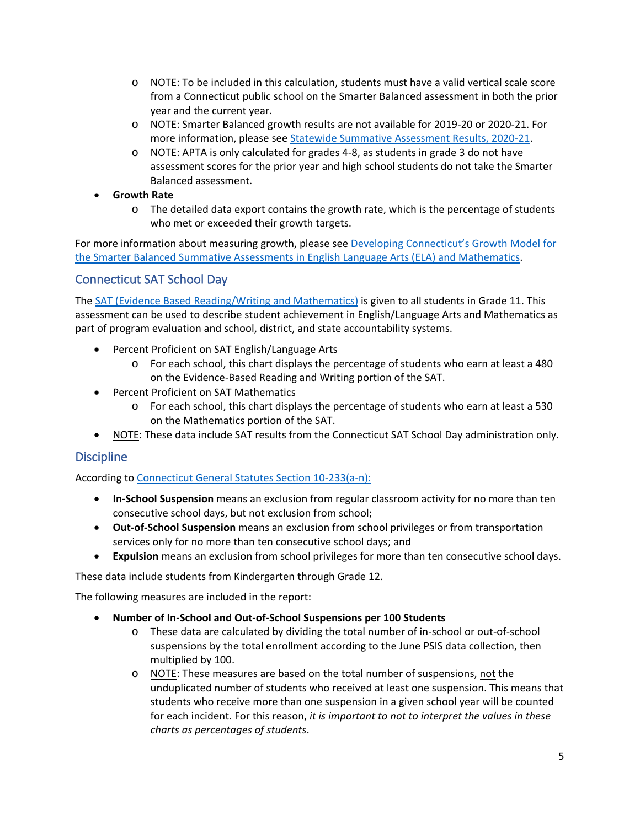- o NOTE: To be included in this calculation, students must have a valid vertical scale score from a Connecticut public school on the Smarter Balanced assessment in both the prior year and the current year.
- o NOTE: Smarter Balanced growth results are not available for 2019-20 or 2020-21. For more information, please see [Statewide Summative Assessment Results, 2020-21.](https://portal.ct.gov/SDE/Student-Assessment/Main-Assessment/Statewide-Summative-Assessment-Results-2020-21)
- o NOTE: APTA is only calculated for grades 4-8, as students in grade 3 do not have assessment scores for the prior year and high school students do not take the Smarter Balanced assessment.

#### • **Growth Rate**

 $\circ$  The detailed data export contains the growth rate, which is the percentage of students who met or exceeded their growth targets.

For more information about measuring growth, please see Developing Connecticut's Growth Model for [the Smarter Balanced Summative Assessments in English Language Arts \(ELA\) and Mathematics.](https://edsight.ct.gov/relatedreports/CT%20Growth%20Model%20Technical%20Paper%20FINAL.pdf)

### <span id="page-4-0"></span>Connecticut SAT School Day

The [SAT \(Evidence Based Reading/Writing and Mathematics\)](https://portal.ct.gov/SDE/Student-Assessment/SAT/Connecticut-SAT-School-Day/Related-Resources) is given to all students in Grade 11. This assessment can be used to describe student achievement in English/Language Arts and Mathematics as part of program evaluation and school, district, and state accountability systems.

- Percent Proficient on SAT English/Language Arts
	- o For each school, this chart displays the percentage of students who earn at least a 480 on the Evidence-Based Reading and Writing portion of the SAT.
- Percent Proficient on SAT Mathematics
	- o For each school, this chart displays the percentage of students who earn at least a 530 on the Mathematics portion of the SAT.
- NOTE: These data include SAT results from the Connecticut SAT School Day administration only.

### <span id="page-4-1"></span>**Discipline**

According to [Connecticut General Statutes Section 10-233\(a-n\):](https://www.cga.ct.gov/current/pub/chap_170.htm#sec_10-233)

- **In-School Suspension** means an exclusion from regular classroom activity for no more than ten consecutive school days, but not exclusion from school;
- **Out-of-School Suspension** means an exclusion from school privileges or from transportation services only for no more than ten consecutive school days; and
- **Expulsion** means an exclusion from school privileges for more than ten consecutive school days.

These data include students from Kindergarten through Grade 12.

The following measures are included in the report:

- **Number of In-School and Out-of-School Suspensions per 100 Students**
	- o These data are calculated by dividing the total number of in-school or out-of-school suspensions by the total enrollment according to the June PSIS data collection, then multiplied by 100.
	- o NOTE: These measures are based on the total number of suspensions, not the unduplicated number of students who received at least one suspension. This means that students who receive more than one suspension in a given school year will be counted for each incident. For this reason, *it is important to not to interpret the values in these charts as percentages of students*.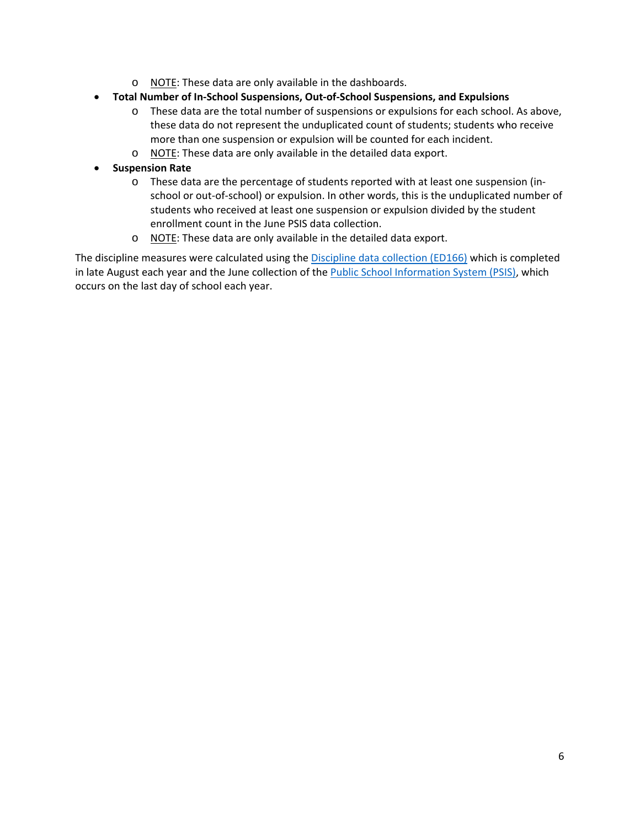- o NOTE: These data are only available in the dashboards.
- **Total Number of In-School Suspensions, Out-of-School Suspensions, and Expulsions**
	- o These data are the total number of suspensions or expulsions for each school. As above, these data do not represent the unduplicated count of students; students who receive more than one suspension or expulsion will be counted for each incident.
	- o NOTE: These data are only available in the detailed data export.
- **Suspension Rate**
	- o These data are the percentage of students reported with at least one suspension (inschool or out-of-school) or expulsion. In other words, this is the unduplicated number of students who received at least one suspension or expulsion divided by the student enrollment count in the June PSIS data collection.
	- o NOTE: These data are only available in the detailed data export.

The discipline measures were calculated using the [Discipline data collection \(ED166\)](https://portal.ct.gov/SDE/Performance/Data-Collection-Help-Sites/ED166-Help-Site) which is completed in late August each year and the June collection of the [Public School Information System \(PSIS\),](https://portal.ct.gov/SDE/Performance/Data-Collection-Help-Sites/PSIS-Help-Site) which occurs on the last day of school each year.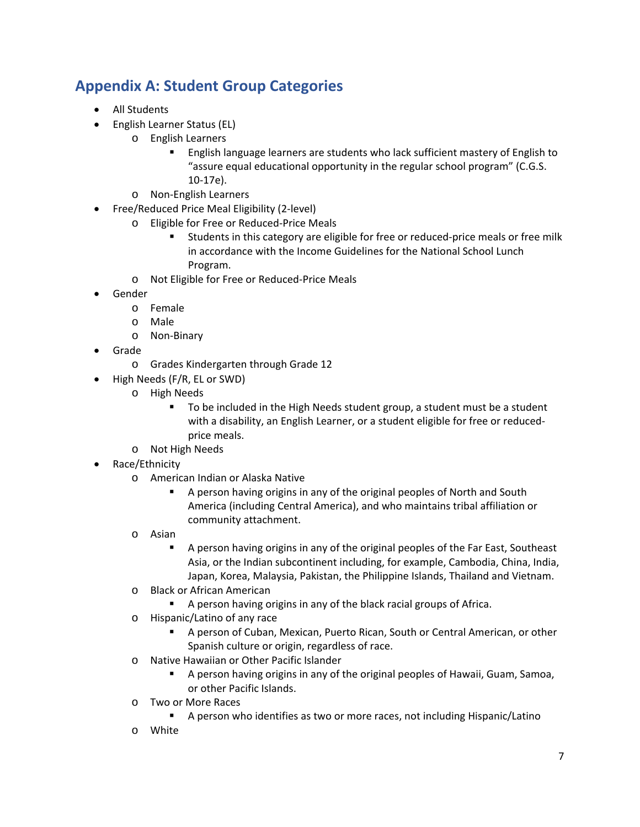# <span id="page-6-0"></span>**Appendix A: Student Group Categories**

- All Students
- English Learner Status (EL)
	- o English Learners
		- **English language learners are students who lack sufficient mastery of English to** "assure equal educational opportunity in the regular school program" (C.G.S. 10-17e).
	- o Non-English Learners
- Free/Reduced Price Meal Eligibility (2-level)
	- o Eligible for Free or Reduced-Price Meals
		- Students in this category are eligible for free or reduced-price meals or free milk in accordance with the Income Guidelines for the National School Lunch Program.
	- o Not Eligible for Free or Reduced-Price Meals
- Gender
	- o Female
	- o Male
	- o Non-Binary
- Grade
	- o Grades Kindergarten through Grade 12
- High Needs (F/R, EL or SWD)
	- o High Needs
		- To be included in the High Needs student group, a student must be a student with a disability, an English Learner, or a student eligible for free or reducedprice meals.
	- o Not High Needs
- Race/Ethnicity
	- o American Indian or Alaska Native
		- A person having origins in any of the original peoples of North and South America (including Central America), and who maintains tribal affiliation or community attachment.
	- o Asian
		- A person having origins in any of the original peoples of the Far East, Southeast Asia, or the Indian subcontinent including, for example, Cambodia, China, India, Japan, Korea, Malaysia, Pakistan, the Philippine Islands, Thailand and Vietnam.
	- o Black or African American
		- A person having origins in any of the black racial groups of Africa.
	- o Hispanic/Latino of any race
		- A person of Cuban, Mexican, Puerto Rican, South or Central American, or other Spanish culture or origin, regardless of race.
	- o Native Hawaiian or Other Pacific Islander
		- A person having origins in any of the original peoples of Hawaii, Guam, Samoa, or other Pacific Islands.
	- o Two or More Races
		- A person who identifies as two or more races, not including Hispanic/Latino
	- o White